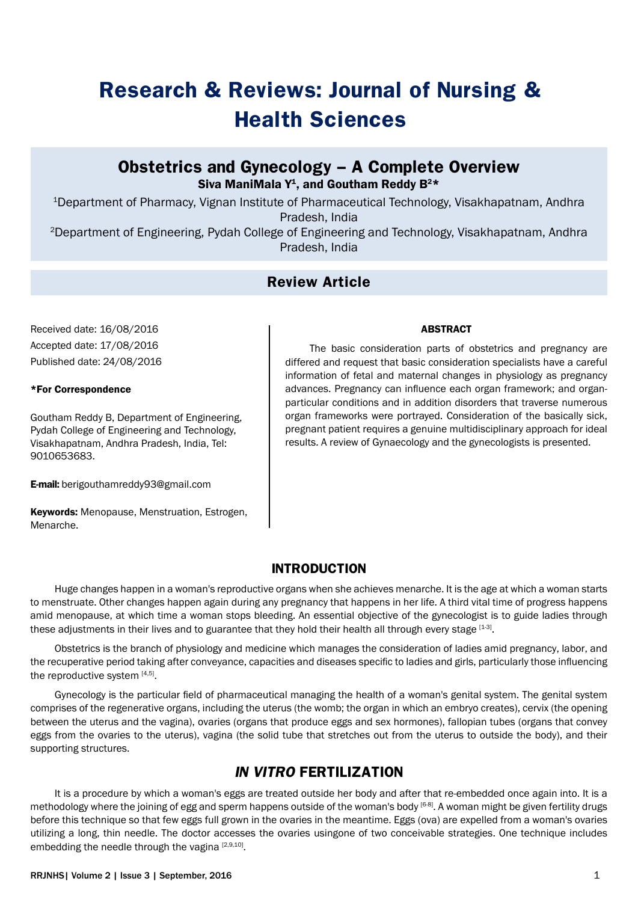# **Research & Reviews: Journal of Nursing & Health Sciences**

## **Obstetrics and Gynecology – A Complete Overview** Siva ManiMala  $Y^1$ , and Goutham Reddy  $B^{2*}$

<sup>1</sup>Department of Pharmacy, Vignan Institute of Pharmaceutical Technology, Visakhapatnam, Andhra Pradesh, India

2Department of Engineering, Pydah College of Engineering and Technology, Visakhapatnam, Andhra Pradesh, India

## **Review Article**

Received date: 16/08/2016 Accepted date: 17/08/2016 Published date: 24/08/2016

#### \*For Correspondence

Goutham Reddy B, Department of Engineering, Pydah College of Engineering and Technology, Visakhapatnam, Andhra Pradesh, India, Tel: 9010653683.

E-mail: berigouthamreddy93@gmail.com

Keywords: Menopause, Menstruation, Estrogen, Menarche.

#### **ABSTRACT**

The basic consideration parts of obstetrics and pregnancy are differed and request that basic consideration specialists have a careful information of fetal and maternal changes in physiology as pregnancy advances. Pregnancy can influence each organ framework; and organparticular conditions and in addition disorders that traverse numerous organ frameworks were portrayed. Consideration of the basically sick, pregnant patient requires a genuine multidisciplinary approach for ideal results. A review of Gynaecology and the gynecologists is presented.

## **INTRODUCTION**

Huge changes happen in a woman's reproductive organs when she achieves menarche. It is the age at which a woman starts to menstruate. Other changes happen again during any pregnancy that happens in her life. A third vital time of progress happens amid menopause, at which time a woman stops bleeding. An essential objective of the gynecologist is to guide ladies through these adjustments in their lives and to guarantee that they hold their health all through every stage [1-3].

Obstetrics is the branch of physiology and medicine which manages the consideration of ladies amid pregnancy, labor, and the recuperative period taking after conveyance, capacities and diseases specific to ladies and girls, particularly those influencing the reproductive system [4,5].

Gynecology is the particular field of pharmaceutical managing the health of a woman's genital system. The genital system comprises of the regenerative organs, including the uterus (the womb; the organ in which an embryo creates), cervix (the opening between the uterus and the vagina), ovaries (organs that produce eggs and sex hormones), fallopian tubes (organs that convey eggs from the ovaries to the uterus), vagina (the solid tube that stretches out from the uterus to outside the body), and their supporting structures.

# **IN VITRO FERTILIZATION**

It is a procedure by which a woman's eggs are treated outside her body and after that re-embedded once again into. It is a methodology where the joining of egg and sperm happens outside of the woman's body [6-8]. A woman might be given fertility drugs before this technique so that few eggs full grown in the ovaries in the meantime. Eggs (ova) are expelled from a woman's ovaries utilizing a long, thin needle. The doctor accesses the ovaries usingone of two conceivable strategies. One technique includes embedding the needle through the vagina [2,9,10].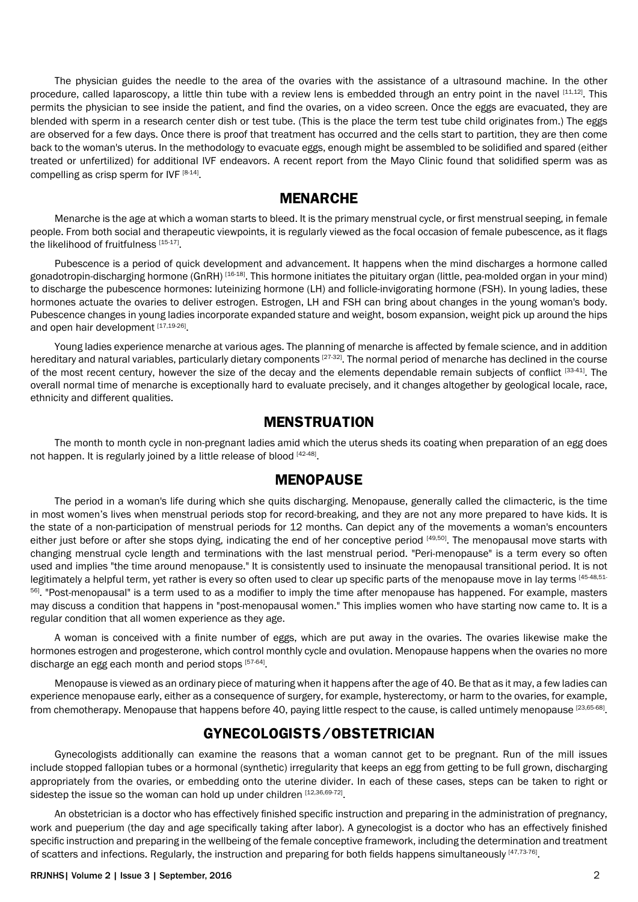The physician guides the needle to the area of the ovaries with the assistance of a ultrasound machine. In the other procedure, called laparoscopy, a little thin tube with a review lens is embedded through an entry point in the navel  $[11,12]$ . This permits the physician to see inside the patient, and find the ovaries, on a video screen. Once the eggs are evacuated, they are blended with sperm in a research center dish or test tube. (This is the place the term test tube child originates from.) The eggs are observed for a few days. Once there is proof that treatment has occurred and the cells start to partition, they are then come back to the woman's uterus. In the methodology to evacuate eggs, enough might be assembled to be solidified and spared (either treated or unfertilized) for additional IVF endeavors. A recent report from the Mayo Clinic found that solidified sperm was as compelling as crisp sperm for IVF  $[8-14]$ .

#### **MENARCHE**

Menarche is the age at which a woman starts to bleed. It is the primary menstrual cycle, or first menstrual seeping, in female people. From both social and therapeutic viewpoints, it is regularly viewed as the focal occasion of female pubescence, as it flags the likelihood of fruitfulness [15-17].

Pubescence is a period of quick development and advancement. It happens when the mind discharges a hormone called gonadotropin-discharging hormone (GnRH) [16-18]. This hormone initiates the pituitary organ (little, pea-molded organ in your mind) to discharge the pubescence hormones: luteinizing hormone (LH) and follicle-invigorating hormone (FSH). In young ladies, these hormones actuate the ovaries to deliver estrogen. Estrogen, LH and FSH can bring about changes in the young woman's body. Pubescence changes in young ladies incorporate expanded stature and weight, bosom expansion, weight pick up around the hips and open hair development [17,19-26].

Young ladies experience menarche at various ages. The planning of menarche is affected by female science, and in addition hereditary and natural variables, particularly dietary components [27-32]. The normal period of menarche has declined in the course of the most recent century, however the size of the decay and the elements dependable remain subjects of conflict [33-41]. The overall normal time of menarche is exceptionally hard to evaluate precisely, and it changes altogether by geological locale, race, ethnicity and different qualities.

#### **MENSTRUATION**

The month to month cycle in non-pregnant ladies amid which the uterus sheds its coating when preparation of an egg does not happen. It is regularly joined by a little release of blood [42-48].

## **MENOPAUSE**

The period in a woman's life during which she quits discharging. Menopause, generally called the climacteric, is the time in most women's lives when menstrual periods stop for record-breaking, and they are not any more prepared to have kids. It is the state of a non-participation of menstrual periods for 12 months. Can depict any of the movements a woman's encounters either just before or after she stops dying, indicating the end of her conceptive period [49,50]. The menopausal move starts with changing menstrual cycle length and terminations with the last menstrual period. "Peri-menopause" is a term every so often used and implies "the time around menopause." It is consistently used to insinuate the menopausal transitional period. It is not legitimately a helpful term, yet rather is every so often used to clear up specific parts of the menopause move in lay terms [45-48,51-<sup>56]</sup>. "Post-menopausal" is a term used to as a modifier to imply the time after menopause has happened. For example, masters may discuss a condition that happens in "post-menopausal women." This implies women who have starting now came to. It is a regular condition that all women experience as they age.

A woman is conceived with a finite number of eggs, which are put away in the ovaries. The ovaries likewise make the hormones estrogen and progesterone, which control monthly cycle and ovulation. Menopause happens when the ovaries no more discharge an egg each month and period stops [57-64].

Menopause is viewed as an ordinary piece of maturing when it happens after the age of 40. Be that as it may, a few ladies can experience menopause early, either as a consequence of surgery, for example, hysterectomy, or harm to the ovaries, for example, from chemotherapy. Menopause that happens before 40, paying little respect to the cause, is called untimely menopause [23,65-68].

## **GYNECOLOGISTS/OBSTETRICIAN**

Gynecologists additionally can examine the reasons that a woman cannot get to be pregnant. Run of the mill issues include stopped fallopian tubes or a hormonal (synthetic) irregularity that keeps an egg from getting to be full grown, discharging appropriately from the ovaries, or embedding onto the uterine divider. In each of these cases, steps can be taken to right or sidestep the issue so the woman can hold up under children  $[12,36,69-72]$ .

An obstetrician is a doctor who has effectively finished specific instruction and preparing in the administration of pregnancy, work and pueperium (the day and age specifically taking after labor). A gynecologist is a doctor who has an effectively finished specific instruction and preparing in the wellbeing of the female conceptive framework, including the determination and treatment of scatters and infections. Regularly, the instruction and preparing for both fields happens simultaneously  $[47,73\cdot76]$ .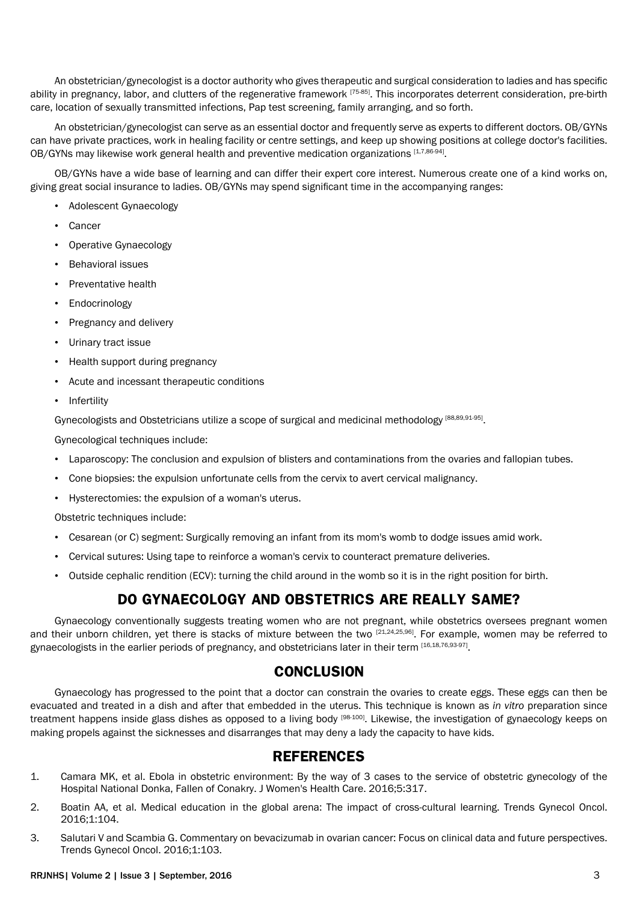An obstetrician/gynecologist is a doctor authority who gives therapeutic and surgical consideration to ladies and has specific ability in pregnancy, labor, and clutters of the regenerative framework [75-85]. This incorporates deterrent consideration, pre-birth care, location of sexually transmitted infections, Pap test screening, family arranging, and so forth.

An obstetrician/gynecologist can serve as an essential doctor and frequently serve as experts to different doctors. OB/GYNs can have private practices, work in healing facility or centre settings, and keep up showing positions at college doctor's facilities. OB/GYNs may likewise work general health and preventive medication organizations [1,7,86-94].

OB/GYNs have a wide base of learning and can differ their expert core interest. Numerous create one of a kind works on, giving great social insurance to ladies. OB/GYNs may spend significant time in the accompanying ranges:

- Adolescent Gynaecology
- Cancer
- Operative Gynaecology
- Behavioral issues
- Preventative health
- Endocrinology
- Pregnancy and delivery
- Urinary tract issue
- Health support during pregnancy
- Acute and incessant therapeutic conditions
- Infertility

Gynecologists and Obstetricians utilize a scope of surgical and medicinal methodology [88,89,91-95].

Gynecological techniques include:

- Laparoscopy: The conclusion and expulsion of blisters and contaminations from the ovaries and fallopian tubes.
- Cone biopsies: the expulsion unfortunate cells from the cervix to avert cervical malignancy.
- Hysterectomies: the expulsion of a woman's uterus.

Obstetric techniques include:

- Cesarean (or C) segment: Surgically removing an infant from its mom's womb to dodge issues amid work.
- Cervical sutures: Using tape to reinforce a woman's cervix to counteract premature deliveries.
- Outside cephalic rendition (ECV): turning the child around in the womb so it is in the right position for birth.

# **DO GYNAECOLOGY AND OBSTETRICS ARE REALLY SAME?**

Gynaecology conventionally suggests treating women who are not pregnant, while obstetrics oversees pregnant women and their unborn children, yet there is stacks of mixture between the two  $[21,24,25,96]$ . For example, women may be referred to gynaecologists in the earlier periods of pregnancy, and obstetricians later in their term [16,18,76,93-97].

## **CONCLUSION**

Gynaecology has progressed to the point that a doctor can constrain the ovaries to create eggs. These eggs can then be evacuated and treated in a dish and after that embedded in the uterus. This technique is known as *in vitro* preparation since treatment happens inside glass dishes as opposed to a living body [98-100]. Likewise, the investigation of gynaecology keeps on making propels against the sicknesses and disarranges that may deny a lady the capacity to have kids.

# **REFERENCES**

- 1. [Camara MK, et al. Ebola in obstetric environment: By the way of 3 cases to the service of obstetric gynecology of the](http://www.omicsonline.org/searchresult.php?keyword=Ebola+in+Obstetric+Environment&search=)  [Hospital National Donka, Fallen of Conakry. J Women's Health Care. 2016;5:317.](http://www.omicsonline.org/searchresult.php?keyword=Ebola+in+Obstetric+Environment&search=)
- 2. [Boatin AA, et al. Medical education in the global arena: The impact of cross-cultural learning. Trends Gynecol Oncol.](http://www.omicsonline.org/searchresult.php?keyword=Medical+Education+in+the+Global+Arena&search=#openaccess)  [2016;1:104.](http://www.omicsonline.org/searchresult.php?keyword=Medical+Education+in+the+Global+Arena&search=#openaccess)
- 3. [Salutari V and Scambia G. Commentary on bevacizumab in ovarian cancer: Focus on clinical data and future perspectives.](http://www.omicsonline.org/searchresult.php?keyword=Commentary+on+Bevacizumab+in+&search=)  [Trends Gynecol Oncol. 2016;1:103.](http://www.omicsonline.org/searchresult.php?keyword=Commentary+on+Bevacizumab+in+&search=)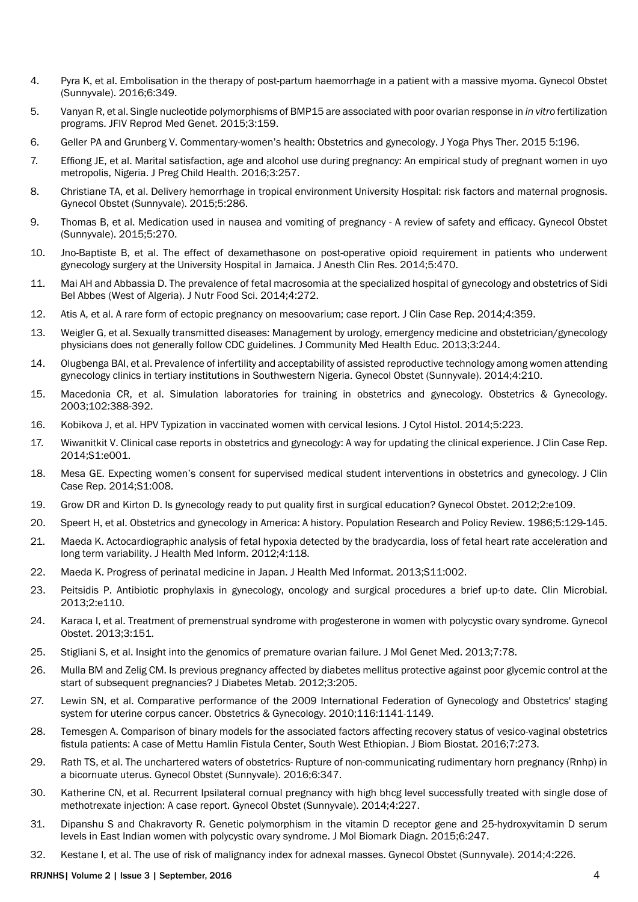- 4. [Pyra K, et al. Embolisation in the therapy of post-partum haemorrhage in a patient with a massive myoma. Gynecol Obstet](http://www.omicsonline.org/open-access/embolisation-in-the-therapy-of-postpartum-haemorrhage-in-a-patientwith-a-massive-myoma-2161-0932-1000349.php?aid=67240)  [\(Sunnyvale\). 2016;6:349.](http://www.omicsonline.org/open-access/embolisation-in-the-therapy-of-postpartum-haemorrhage-in-a-patientwith-a-massive-myoma-2161-0932-1000349.php?aid=67240)
- 5. [Vanyan R, et al. Single nucleotide polymorphisms of BMP15 are associated with poor ovarian response in](http://www.omicsgroup.org/journals/single-nucleotide-polymorphisms-of-bmp15-are-associated-with-poor-ovarian-response-in-in-vitro-fertilization-programs-2375-4508-1000159.php?aid=61025) *in vitro* fertilization [programs. JFIV Reprod Med Genet. 2015;3:159.](http://www.omicsgroup.org/journals/single-nucleotide-polymorphisms-of-bmp15-are-associated-with-poor-ovarian-response-in-in-vitro-fertilization-programs-2375-4508-1000159.php?aid=61025)
- 6. [Geller PA and Grunberg V. Commentary-women's health: Obstetrics and gynecology. J Yoga Phys Ther. 2015 5:196.](http://www.omicsonline.org/open-access/commentarywomens-health-obstetrics-and-gynecology-2157-7595-1000196.php?aid=60621)
- 7. [Effiong JE, et al. Marital satisfaction, age and alcohol use during pregnancy: An empirical study of pregnant women in uyo](http://www.omicsgroup.org/journals/marital-satisfaction-age-and-alcohol-use-during-pregnancy-an-empiricalstudy-of-pregnant-women-in-uyo-metropolis-nigeria-2376-127X-1000257.php?aid=73989)  [metropolis, Nigeria. J Preg Child Health. 2016;3:257.](http://www.omicsgroup.org/journals/marital-satisfaction-age-and-alcohol-use-during-pregnancy-an-empiricalstudy-of-pregnant-women-in-uyo-metropolis-nigeria-2376-127X-1000257.php?aid=73989)
- 8. [Christiane TA, et al. Delivery hemorrhage in tropical environment University Hospital: risk factors and maternal prognosis.](http://www.omicsonline.org/open-access/delivery-hemorrhage-in-tropical-environment-university-hospital-risk-factors-and-maternal-prognosis-2161-0932-1000286.php?aid=51936)  [Gynecol Obstet \(Sunnyvale\). 2015;5:286.](http://www.omicsonline.org/open-access/delivery-hemorrhage-in-tropical-environment-university-hospital-risk-factors-and-maternal-prognosis-2161-0932-1000286.php?aid=51936)
- 9. [Thomas B, et al. Medication used in nausea and vomiting of pregnancy A review of safety and efficacy. Gynecol Obstet](http://www.omicsonline.org/open-access/medication-used-in-nausea-and-vomiting-of-pregnancy-a-review-of-safety-and-efficacy-2161-0932.1000270.php?aid=37968)  [\(Sunnyvale\). 2015;5:270.](http://www.omicsonline.org/open-access/medication-used-in-nausea-and-vomiting-of-pregnancy-a-review-of-safety-and-efficacy-2161-0932.1000270.php?aid=37968)
- 10. [Jno-Baptiste B, et al. The effect of dexamethasone on post-operative opioid requirement in patients who underwent](http://www.omicsonline.org/open-access/the-effect-of-dexamethasone-on-postoperative-opioid-requirement-in-patients-2155-6148.1000470.php?aid=34055The Effect of Dexamethasone on Post-operative)  [gynecology surgery at the University Hospital in Jamaica. J Anesth Clin Res. 2014;5:470.](http://www.omicsonline.org/open-access/the-effect-of-dexamethasone-on-postoperative-opioid-requirement-in-patients-2155-6148.1000470.php?aid=34055The Effect of Dexamethasone on Post-operative)
- 11. [Mai AH and Abbassia D. The prevalence of fetal macrosomia at the specialized hospital of gynecology and obstetrics of Sidi](http://www.omicsonline.org/open-access/the-prevalence-of-fetal-macrosomia-at-the-specialized-hospital-of-gynecology-and-obstetrics-of-sidi-bel-abbes-west-of-algeria-2155-9600.1000272.php?aid=26937)  [Bel Abbes \(West of Algeria\). J Nutr Food Sci. 2014;4:272.](http://www.omicsonline.org/open-access/the-prevalence-of-fetal-macrosomia-at-the-specialized-hospital-of-gynecology-and-obstetrics-of-sidi-bel-abbes-west-of-algeria-2155-9600.1000272.php?aid=26937)
- 12. [Atis A, et al. A rare form of ectopic pregnancy on mesoovarium; case report. J Clin Case Rep. 2014;4:359.](http://www.omicsonline.org/searchresult.php?keyword=A+Rare+Form+of+Ectopic+Pregnancy+&search=)
- 13. [Weigler G, et al. Sexually transmitted diseases: Management by urology, emergency medicine and obstetrician/gynecology](http://www.omicsonline.org/sexually-transmitted-diseases-management-urology-emergency-medicine-and-obstetriciangynecology-physicians-2161-0711.1000244.php?aid=19835)  [physicians does not generally follow CDC guidelines. J Community Med Health Educ. 2013;3:244.](http://www.omicsonline.org/sexually-transmitted-diseases-management-urology-emergency-medicine-and-obstetriciangynecology-physicians-2161-0711.1000244.php?aid=19835)
- 14. [Olugbenga BAI, et al. Prevalence of infertility and acceptability of assisted reproductive technology among women attending](http://www.omicsonline.org/open-access/prevalence-of-infertility-and-acceptability-of-assisted-reproductive-technology-among-women-attending-gynecology-clinics-in-tertiary-institutions-in-southwestern-nigeria-2161-0932.1000210.php?aid=24881)  [gynecology clinics in tertiary institutions in Southwestern Nigeria. Gynecol Obstet \(Sunnyvale\). 2014;4:210.](http://www.omicsonline.org/open-access/prevalence-of-infertility-and-acceptability-of-assisted-reproductive-technology-among-women-attending-gynecology-clinics-in-tertiary-institutions-in-southwestern-nigeria-2161-0932.1000210.php?aid=24881)
- 15. [Macedonia CR, et al. Simulation laboratories for training in obstetrics and gynecology. Obstetrics & Gynecology.](http://journals.lww.com/greenjournal/Abstract/2003/08000/Simulation_Laboratories_for_Training_in_Obstetrics.30.aspx)  [2003;102:388-392.](http://journals.lww.com/greenjournal/Abstract/2003/08000/Simulation_Laboratories_for_Training_in_Obstetrics.30.aspx)
- 16. [Kobikova J, et al. HPV Typization in vaccinated women with cervical lesions. J Cytol Histol. 2014;5:223.](http://www.omicsonline.org/open-access/hpv-typization-in-vaccinated-women-with-cervical-lesions-2157-7099.1000223.php?aid=25640)
- 17. [Wiwanitkit V. Clinical case reports in obstetrics and gynecology: A way for updating the clinical experience. J Clin Case Rep.](http://www.omicsgroup.org/journals/clinical-case-reports-in-obstetrics-and-gynecology-a-way-for-updating-the-clinical-experience-2165-7920.1000S1-e001.php?aid=25962)  [2014;S1:e001.](http://www.omicsgroup.org/journals/clinical-case-reports-in-obstetrics-and-gynecology-a-way-for-updating-the-clinical-experience-2165-7920.1000S1-e001.php?aid=25962)
- 18. [Mesa GE. Expecting women's consent for supervised medical student interventions in obstetrics and gynecology. J Clin](http://www.omicsgroup.org/journals/expecting-womens-consent-for-supervised-medical-student-interventions-in-obstetrics-and-gynecology-2165-7920.1000S1-008.php?aid=25976)  [Case Rep. 2014;S1:008.](http://www.omicsgroup.org/journals/expecting-womens-consent-for-supervised-medical-student-interventions-in-obstetrics-and-gynecology-2165-7920.1000S1-008.php?aid=25976)
- 19. [Grow DR and Kirton D. Is gynecology ready to put quality first in surgical education? Gynecol Obstet. 2012;2:e109.](file:///\\omicswa-204\Neha Team\Goutham\Is Gynecology Ready to Put Quality First in Surgical Education)
- 20. [Speert H, et al. Obstetrics and gynecology in America: A history. Population Research and Policy Review. 1986;5:129-145.](http://www.popline.org/node/637946)
- 21. [Maeda K. Actocardiographic analysis of fetal hypoxia detected by the bradycardia, loss of fetal heart rate acceleration and](http://www.omicsonline.org/actocardiographic-analysis-of-fetal-hypoxia-detected-by-the-bradycardia-loss-of-fetal-heart-rate-acceleration-and-long-term-variability-2157-7420.1000118.php?aid=10227)  [long term variability. J Health Med Inform. 2012;4:118.](http://www.omicsonline.org/actocardiographic-analysis-of-fetal-hypoxia-detected-by-the-bradycardia-loss-of-fetal-heart-rate-acceleration-and-long-term-variability-2157-7420.1000118.php?aid=10227)
- 22. [Maeda K. Progress of perinatal medicine in Japan. J Health Med Informat. 2013;S11:002.](http://www.omicsonline.org/progress-of-perinatal-medicine-in-japan-2157-7420.S11-002.php?aid=12354)
- 23. [Peitsidis P. Antibiotic prophylaxis in gynecology, oncology and surgical procedures a brief up-to date. Clin Microbial.](http://www.esciencecentral.org/journals/antibiotic-prophylaxis-in-gynecology-oncology-and-surgical-procedures-a-brief-upto-date-2327-5073.1000e110.php?aid=12911)  [2013;2:e110.](http://www.esciencecentral.org/journals/antibiotic-prophylaxis-in-gynecology-oncology-and-surgical-procedures-a-brief-upto-date-2327-5073.1000e110.php?aid=12911)
- 24. [Karaca I, et al. Treatment of premenstrual syndrome with progesterone in women with polycystic ovary syndrome. Gynecol](http://www.omicsonline.org/treatment-of-premenstrual-syndrome-with-progesterone-in-women-with-polycystic-ovary-syndrome-2161-0932.1000151.php?aid=15481)  [Obstet. 2013;3:151.](http://www.omicsonline.org/treatment-of-premenstrual-syndrome-with-progesterone-in-women-with-polycystic-ovary-syndrome-2161-0932.1000151.php?aid=15481)
- 25. [Stigliani S, et al. Insight into the genomics of premature ovarian failure. J Mol Genet Med. 2013;7:78.](http://www.omicsonline.com/open-access/insight-into-the-genomics-of-premature-ovarian-failure-1747-0862.1000078.php?aid=19223)
- 26. [Mulla BM and Zelig CM. Is previous pregnancy affected by diabetes mellitus protective against poor glycemic control at the](http://www.omicsonline.org/is-previous-pregnancy-affected-by-diabetes-mellitus-protective-against-poor-glycemic-control-at-the-start-of-subsequent-pregnancies-2155-6156.1000205.php?aid=7660)  [start of subsequent pregnancies? J Diabetes Metab. 2012;3:205.](http://www.omicsonline.org/is-previous-pregnancy-affected-by-diabetes-mellitus-protective-against-poor-glycemic-control-at-the-start-of-subsequent-pregnancies-2155-6156.1000205.php?aid=7660)
- 27. [Lewin SN, et al. Comparative performance of the 2009 International Federation of Gynecology and Obstetrics' staging](http://journals.lww.com/greenjournal/Abstract/2010/11000/Comparative_Performance_of_the_2009_International.21.aspx)  [system for uterine corpus cancer. Obstetrics & Gynecology. 2010;116:1141-1149.](http://journals.lww.com/greenjournal/Abstract/2010/11000/Comparative_Performance_of_the_2009_International.21.aspx)
- 28. [Temesgen A. Comparison of binary models for the associated factors affecting recovery status of vesico-vaginal obstetrics](http://www.omicsonline.org/open-access/comparison-of-binary-models-for-the-associated-factors-affectingrecovery-status-of-vesicovaginal-obstetrics-fistula-patients-a-cas-2155-6180-1000273.php?aid=68993)  [fistula patients: A case of Mettu Hamlin Fistula Center, South West Ethiopian. J Biom Biostat. 2016;7:273.](http://www.omicsonline.org/open-access/comparison-of-binary-models-for-the-associated-factors-affectingrecovery-status-of-vesicovaginal-obstetrics-fistula-patients-a-cas-2155-6180-1000273.php?aid=68993)
- 29. [Rath TS, et al. The unchartered waters of obstetrics- Rupture of non-communicating rudimentary horn pregnancy \(Rnhp\) in](http://www.omicsonline.org/open-access/the-unchartered-waters-of-obstetrics--rupture-of-noncommunicatingrudimentary-horn-pregnancy-rnhp-in-a-bicornuate-uterus-2161-0932-1000347.php?aid=67237)  [a bicornuate uterus. Gynecol Obstet \(Sunnyvale\). 2016;6:347.](http://www.omicsonline.org/open-access/the-unchartered-waters-of-obstetrics--rupture-of-noncommunicatingrudimentary-horn-pregnancy-rnhp-in-a-bicornuate-uterus-2161-0932-1000347.php?aid=67237)
- 30. [Katherine CN, et al. Recurrent Ipsilateral cornual pregnancy with high bhcg level successfully treated with single dose of](http://www.omicsonline.org/open-access/recurrent-ipsilateral-cornual-pregnancy-with-high-bhcg-level-successfully-treated-with-single-dose-of-methotrexate-injection-a-case-report-2161-0932.1000227.php?aid=28086)  [methotrexate injection: A case report. Gynecol Obstet \(Sunnyvale\). 2014;4:227.](http://www.omicsonline.org/open-access/recurrent-ipsilateral-cornual-pregnancy-with-high-bhcg-level-successfully-treated-with-single-dose-of-methotrexate-injection-a-case-report-2161-0932.1000227.php?aid=28086)
- 31. [Dipanshu S and Chakravorty R. Genetic polymorphism in the vitamin D receptor gene and 25-hydroxyvitamin D serum](http://www.omicsonline.org/open-access/genetic-polymorphism-in-the-vitamin-d-receptor-gene-and-25hydroxyvitamin-d-serum-levels-in-east-indian-women-with-polycystic-ovary-syndrome-2155-9929-1000247.php?aid=60781)  [levels in East Indian women with polycystic ovary syndrome. J Mol Biomark Diagn. 2015;6:247.](http://www.omicsonline.org/open-access/genetic-polymorphism-in-the-vitamin-d-receptor-gene-and-25hydroxyvitamin-d-serum-levels-in-east-indian-women-with-polycystic-ovary-syndrome-2155-9929-1000247.php?aid=60781)
- 32. [Kestane I, et al. The use of risk of malignancy index for adnexal masses. Gynecol Obstet \(Sunnyvale\). 2014;4:226.](http://www.omicsonline.org/open-access/the-use-of-risk-of-malignancy-index-for-adnexal-masses-2161-0932.1000226.php?aid=28085)

#### RRJNHS| Volume 2 | Issue 3 | September, 2016 4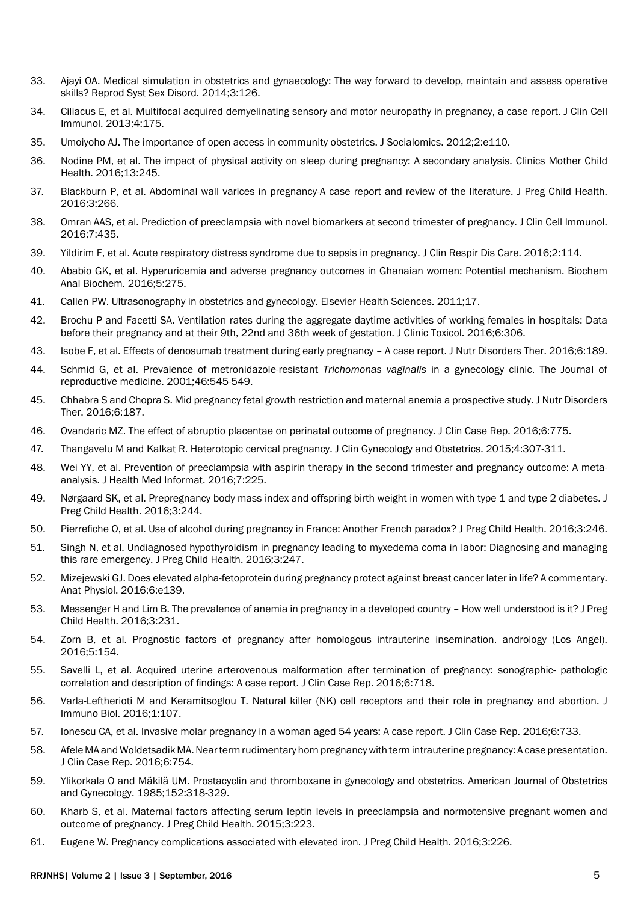- 33. [Ajayi OA. Medical simulation in obstetrics and gynaecology: The way forward to develop, maintain and assess operative](http://www.omicsonline.org/medical-simulation-in-obstetrics-and-gynaecology-the-way-forward-to-develop-maintain-and-assess-operative-skills-2161-038X-3-126.php?aid=21825)  [skills? Reprod Syst Sex Disord. 2014;3:126.](http://www.omicsonline.org/medical-simulation-in-obstetrics-and-gynaecology-the-way-forward-to-develop-maintain-and-assess-operative-skills-2161-038X-3-126.php?aid=21825)
- 34. [Ciliacus E, et al. Multifocal acquired demyelinating sensory and motor neuropathy in pregnancy, a case report. J Clin Cell](http://www.omicsonline.org/multifocal-acquired-demyelinating-sensory-and-motor-neuropathy-in-pregnancy-a-case-report-2155-9899.1000175.php?aid=21314)  [Immunol. 2013;4:175.](http://www.omicsonline.org/multifocal-acquired-demyelinating-sensory-and-motor-neuropathy-in-pregnancy-a-case-report-2155-9899.1000175.php?aid=21314)
- 35. [Umoiyoho AJ. The importance of open access in community obstetrics. J Socialomics. 2012;2:e110.](http://www.omicsgroup.org/journals/the-importance-of-open-access-in-community-obstetrics-2167-0358.1000e110.php?aid=5116)
- 36. [Nodine PM, et al. The impact of physical activity on sleep during pregnancy: A secondary analysis. Clinics Mother Child](http://www.omicsonline.com/open-access/the-impact-of-physical-activity-on-sleep-during-pregnancy-a-secondaryanalysis-2090-7214-1000245.php?aid=76447)  [Health. 2016;13:245.](http://www.omicsonline.com/open-access/the-impact-of-physical-activity-on-sleep-during-pregnancy-a-secondaryanalysis-2090-7214-1000245.php?aid=76447)
- 37. [Blackburn P, et al. Abdominal wall varices in pregnancy-A case report and review of the literature. J Preg Child Health.](file:///\\omicswa-204\Neha Team\Goutham\Pregnancy-A Case Report)  [2016;3:266.](file:///\\omicswa-204\Neha Team\Goutham\Pregnancy-A Case Report)
- 38. [Omran AAS, et al. Prediction of preeclampsia with novel biomarkers at second trimester of pregnancy. J Clin Cell Immunol.](http://www.omicsonline.org/open-access/prediction-of-preeclampsia-with-novel-biomarkers-at-second-trimester-ofpregnancy-2155-9899-1000435.php?aid=75560)  [2016;7:435.](http://www.omicsonline.org/open-access/prediction-of-preeclampsia-with-novel-biomarkers-at-second-trimester-ofpregnancy-2155-9899-1000435.php?aid=75560)
- 39. [Yildirim F, et al. Acute respiratory distress syndrome due to sepsis in pregnancy. J Clin Respir Dis Care. 2016;2:114.](http://www.omicsonline.org/open-access/acute-respiratory-distress-syndrome-due-to-sepsis-in-pregnancy-2472-1247-1000114.php?aid=75073)
- 40. [Ababio GK, et al. Hyperuricemia and adverse pregnancy outcomes in Ghanaian women: Potential mechanism. Biochem](http://www.omicsonline.org/open-access/hyperuricemia-and-adverse-pregnant-outcomes-in-ghanaian-womenpotential-mechanism-2161-1009-1000275.php?aid=74749)  [Anal Biochem. 2016;5:275.](http://www.omicsonline.org/open-access/hyperuricemia-and-adverse-pregnant-outcomes-in-ghanaian-womenpotential-mechanism-2161-1009-1000275.php?aid=74749)
- 41. [Callen PW. Ultrasonography in obstetrics and gynecology. Elsevier Health Sciences. 2011;17.](https://books.google.co.in/books?hl=en&lr=&id=uglwWeuzeg4C&oi=fnd&pg=PT88&dq=Ultrasonography+in+obstetrics+and+gynecology&ots=x3aWc9naSG&sig=6dSHgjds95flKPo8hfy5ZK5MQjQ)
- 42. [Brochu P and Facetti SA. Ventilation rates during the aggregate daytime activities of working females in hospitals: Data](http://www.omicsonline.org/open-access/ventilation-rates-during-the-aggregate-daytime-activities-of-workingfemales-in-hospitals-data-before-their-pregnancy-and-at-their-2161-0495-1000306.php?aid=74607)  [before their pregnancy and at their 9th, 22nd and 36th week of gestation. J Clinic Toxicol. 2016;6:306.](http://www.omicsonline.org/open-access/ventilation-rates-during-the-aggregate-daytime-activities-of-workingfemales-in-hospitals-data-before-their-pregnancy-and-at-their-2161-0495-1000306.php?aid=74607)
- 43. [Isobe F, et al. Effects of denosumab treatment during early pregnancy A case report. J Nutr Disorders Ther. 2016;6:189.](http://www.omicsonline.org/open-access/effects-of-denosumab-treatment-during-early-pregnancy--a-case-report-2161-0509-1000189.php?aid=74104)
- 44. [Schmid G, et al. Prevalence of metronidazole-resistant](http://europepmc.org/abstract/med/11441678) *Trichomonas vaginalis* in a gynecology clinic. The Journal of [reproductive medicine. 2001;46:545-549.](http://europepmc.org/abstract/med/11441678)
- 45. [Chhabra S and Chopra S. Mid pregnancy fetal growth restriction and maternal anemia a prospective study. J Nutr Disorders](http://www.omicsonline.org/open-access/mid-pregnancy-fetal-growth-restriction-and-maternal-anaemia-a-prospectivestudy-2161-0509-1000187.php?aid=73883)  [Ther. 2016;6:187.](http://www.omicsonline.org/open-access/mid-pregnancy-fetal-growth-restriction-and-maternal-anaemia-a-prospectivestudy-2161-0509-1000187.php?aid=73883)
- 46. [Ovandaric MZ. The effect of abruptio placentae on perinatal outcome of pregnancy. J Clin Case Rep. 2016;6:775.](http://www.omicsgroup.org/journals/the-effect-of-abruptio-placentae-on-perinatal-outcome-of-pregnancy-2165-7920-1000775.php?aid=73691)
- 47. [Thangavelu M and Kalkat R. Heterotopic cervical pregnancy. J Clin Gynecology and Obstetrics. 2015;4:307-311.](http://www.jcgo.org/index.php/jcgo/article/view/369)
- 48. [Wei YY, et al. Prevention of preeclampsia with aspirin therapy in the second trimester and pregnancy outcome: A meta](http://www.omicsonline.org/open-access/prevention-of-preeclampsia-with-aspirin-therapy-in-the-second-trimesterand-pregnancy-outcome-a-metaanalysis-2157-7420-1000225.php?aid=72718)[analysis. J Health Med Informat. 2016;7:225.](http://www.omicsonline.org/open-access/prevention-of-preeclampsia-with-aspirin-therapy-in-the-second-trimesterand-pregnancy-outcome-a-metaanalysis-2157-7420-1000225.php?aid=72718)
- 49. [Nørgaard SK, et al. Prepregnancy body mass index and offspring birth weight in women with type 1 and type 2 diabetes. J](http://www.omicsgroup.org/journals/prepregnancy-body-mass-index-and-offspring-birth-weight-in-women-with-type1-and-type-2-diabetes-2376-127X-1000244.php?aid=72756)  [Preg Child Health. 2016;3:244.](http://www.omicsgroup.org/journals/prepregnancy-body-mass-index-and-offspring-birth-weight-in-women-with-type1-and-type-2-diabetes-2376-127X-1000244.php?aid=72756)
- 50. [Pierrefiche O, et al. Use of alcohol during pregnancy in France: Another French paradox? J Preg Child Health. 2016;3:246.](http://www.omicsgroup.org/journals/use-of-alcohol-during-pregnancy-in-france-another-french-paradox-2376-127X-1000246.php?aid=72758)
- 51. [Singh N, et al. Undiagnosed hypothyroidism in pregnancy leading to myxedema coma in labor: Diagnosing and managing](http://www.omicsgroup.org/journals/undiagnosed-hypothyroidism-in-pregnancy-leading-to-myxedema-coma-inlabor-diagnosing-and-managing-this-rare-emergency-2376-127X-1000247.php?aid=72759)  [this rare emergency. J Preg Child Health. 2016;3:247.](http://www.omicsgroup.org/journals/undiagnosed-hypothyroidism-in-pregnancy-leading-to-myxedema-coma-inlabor-diagnosing-and-managing-this-rare-emergency-2376-127X-1000247.php?aid=72759)
- 52. [Mizejewski GJ. Does elevated alpha-fetoprotein during pregnancy protect against breast cancer later in life? A commentary.](http://www.omicsonline.org/open-access/does-elevated-alphafetoprotein-during-pregnancy-protect-against-breastcancer-later-in-life-a-commentary-2161-0940-1000e139.php?aid=73000)  [Anat Physiol. 2016;6:e139.](http://www.omicsonline.org/open-access/does-elevated-alphafetoprotein-during-pregnancy-protect-against-breastcancer-later-in-life-a-commentary-2161-0940-1000e139.php?aid=73000)
- 53. [Messenger H and Lim B. The prevalence of anemia in pregnancy in a developed country How well understood is it? J Preg](http://www.omicsonline.org/open-access/the-prevalence-of-depression-in-patients-with-diabetes-mellitus-type-ii-in-theshahid-rahimi-hospital-of-khorramabad-iran-2161-1165-1000249.php?aid=75253)  [Child Health. 2016;3:231.](http://www.omicsonline.org/open-access/the-prevalence-of-depression-in-patients-with-diabetes-mellitus-type-ii-in-theshahid-rahimi-hospital-of-khorramabad-iran-2161-1165-1000249.php?aid=75253)
- 54. [Zorn B, et al. Prognostic factors of pregnancy after homologous intrauterine insemination. andrology \(Los Angel\).](http://www.omicsgroup.org/journals/prognostic-factors-of-pregnancy-after-homologous-intrauterine-insemination-2167-0250-1000154.php?aid=70326)  [2016;5:154.](http://www.omicsgroup.org/journals/prognostic-factors-of-pregnancy-after-homologous-intrauterine-insemination-2167-0250-1000154.php?aid=70326)
- 55. [Savelli L, et al. Acquired uterine arterovenous malformation after termination of pregnancy: sonographic- pathologic](http://www.omicsgroup.org/journals/acquired-uterine-arterovenous-malformation-after-termination-of-pregnancysonographicpathologic-correlation-and-description-of-find-2165-7920-1000718.php?aid=70502)  [correlation and description of findings: A case report. J Clin Case Rep. 2016;6:718.](http://www.omicsgroup.org/journals/acquired-uterine-arterovenous-malformation-after-termination-of-pregnancysonographicpathologic-correlation-and-description-of-find-2165-7920-1000718.php?aid=70502)
- 56. [Varla-Leftherioti M and Keramitsoglou T. Natural killer \(NK\) cell receptors and their role in pregnancy and abortion. J](http://www.omicsonline.org/open-access/natural-killer-nk-cell-receptors-and-their-role-in-pregnancy-and-abortion-jib-1000107.php?aid=71322)  [Immuno Biol. 2016;1:107.](http://www.omicsonline.org/open-access/natural-killer-nk-cell-receptors-and-their-role-in-pregnancy-and-abortion-jib-1000107.php?aid=71322)
- 57. [Ionescu CA, et al. Invasive molar pregnancy in a woman aged 54 years: A case report. J Clin Case Rep. 2016;6:733.](http://www.omicsgroup.org/journals/invasive-molar-pregnancy-in-a-woman-aged-54-years-a-case-report-2165-7920-1000733.php?aid=71673)
- 58. [Afele MA and Woldetsadik MA. Near term rudimentary horn pregnancy with term intrauterine pregnancy: A case presentation.](http://www.omicsgroup.org/journals/near-term-rudimentary-horn-pregnancy-with-term-intrauterinepregnancy-a-case-presentation-2165-7920-1000754.php?aid=71719)  [J Clin Case Rep. 2016;6:754.](http://www.omicsgroup.org/journals/near-term-rudimentary-horn-pregnancy-with-term-intrauterinepregnancy-a-case-presentation-2165-7920-1000754.php?aid=71719)
- 59. [Ylikorkala O and Mäkilä UM. Prostacyclin and thromboxane in gynecology and obstetrics. American Journal of Obstetrics](http://www.sciencedirect.com/science/article/pii/S0002937885802210)  [and Gynecology. 1985;152:318-329.](http://www.sciencedirect.com/science/article/pii/S0002937885802210)
- 60. [Kharb S, et al. Maternal factors affecting serum leptin levels in preeclampsia and normotensive pregnant women and](file:///\\omicswa-204\Neha Team\Goutham\Leptin Levels in Preeclampsia)  [outcome of pregnancy. J Preg Child Health. 2015;3:223.](file:///\\omicswa-204\Neha Team\Goutham\Leptin Levels in Preeclampsia)
- 61. [Eugene W. Pregnancy complications associated with elevated iron. J Preg Child Health. 2016;3:226.](http://www.omicsgroup.org/journals/pregnancy-complications-associated-with-elevated-iron-2376-127X-1000226.php?aid=69275)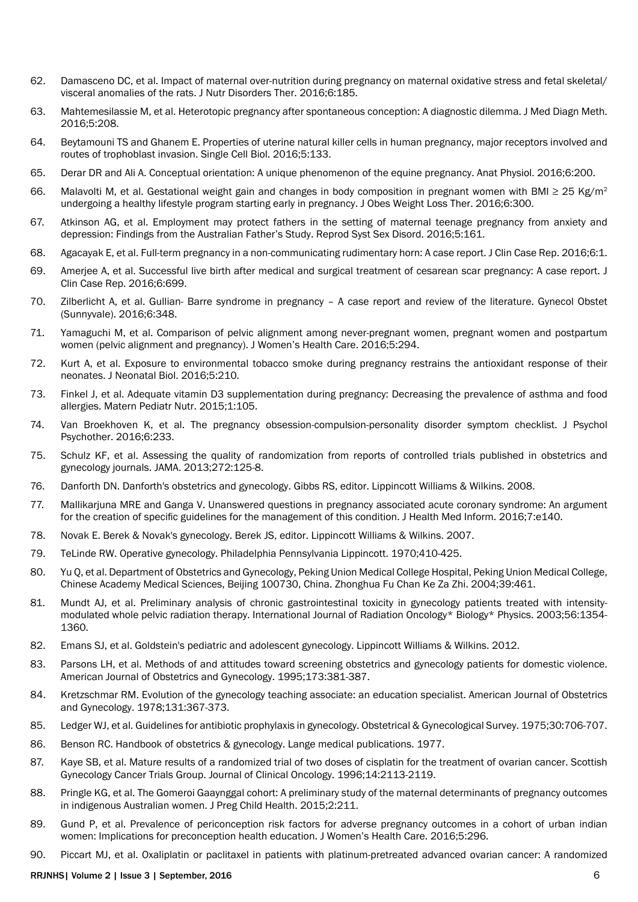- 62. [Damasceno DC, et al. Impact of maternal over-nutrition during pregnancy on maternal oxidative stress and fetal skeletal/](http://www.omicsonline.org/open-access/impact-of-maternal-overnutrition-during-pregnancy-on-maternaloxidative-stress-and-fetal-skeletalvisceral-anomalies-of-the-rats-2161- 0509-1000185.php?aid=69669) [visceral anomalies of the rats. J Nutr Disorders Ther. 2016;6:185.](http://www.omicsonline.org/open-access/impact-of-maternal-overnutrition-during-pregnancy-on-maternaloxidative-stress-and-fetal-skeletalvisceral-anomalies-of-the-rats-2161- 0509-1000185.php?aid=69669)
- 63. [Mahtemesilassie M, et al. Heterotopic pregnancy after spontaneous conception: A diagnostic dilemma. J Med Diagn Meth.](http://www.omicsgroup.org/journals/heterotopic-pregnancy-after-spontaneous-conception-a-diagnostic-dilemma-2168-9784-1000208.php?aid=69742)  [2016;5:208.](http://www.omicsgroup.org/journals/heterotopic-pregnancy-after-spontaneous-conception-a-diagnostic-dilemma-2168-9784-1000208.php?aid=69742)
- 64. [Beytamouni TS and Ghanem E. Properties of uterine natural killer cells in human pregnancy, major receptors involved and](http://www.omicsgroup.org/journals/properties-of-uterine-natural-killer-cells-in-human-pregnancy-major-receptors-involved-and-routes-of-trophoblast-invasion-2168-9431-1000133.php?aid=69781)  [routes of trophoblast invasion. Single Cell Biol. 2016;5:133.](http://www.omicsgroup.org/journals/properties-of-uterine-natural-killer-cells-in-human-pregnancy-major-receptors-involved-and-routes-of-trophoblast-invasion-2168-9431-1000133.php?aid=69781)
- 65. [Derar DR and Ali A. Conceptual orientation: A unique phenomenon of the equine pregnancy. Anat Physiol. 2016;6:200.](http://www.omicsonline.org/open-access/conceptual-orientation-a-unique-phenomenon-of-the-equine-pregnancy-2161-0940-1000200.php?aid=68353)
- 66. [Malavolti M, et al. Gestational weight gain and changes in body composition in pregnant women with BMI ≥ 25 Kg/m](http://www.omicsgroup.org/journals/gestational-weight-gain-and-changes-in-body-composition-in-pregnantwomen-with-bmi-25-kgm2-undergoing-a-healthy-lifestyle-programst-2165-7904-1000300.php?aid=68833)<sup>2</sup> [undergoing a healthy lifestyle program starting early in pregnancy. J Obes Weight Loss Ther. 2016;6:300.](http://www.omicsgroup.org/journals/gestational-weight-gain-and-changes-in-body-composition-in-pregnantwomen-with-bmi-25-kgm2-undergoing-a-healthy-lifestyle-programst-2165-7904-1000300.php?aid=68833)
- 67. [Atkinson AG, et al. Employment may protect fathers in the setting of maternal teenage pregnancy from anxiety and](http://www.omicsonline.org/open-access/employment-may-protect-fathers-in-the-setting-of-maternal-teenage-pregnancy-from-anxiety-and-depression-findings-from-the-australi-2161-038X-1000161.php?aid=68921)  [depression: Findings from the Australian Father's Study. Reprod Syst Sex Disord. 2016;5:161.](http://www.omicsonline.org/open-access/employment-may-protect-fathers-in-the-setting-of-maternal-teenage-pregnancy-from-anxiety-and-depression-findings-from-the-australi-2161-038X-1000161.php?aid=68921)
- 68. [Agacayak E, et al. Full-term pregnancy in a non-communicating rudimentary horn: A case report. J Clin Case Rep. 2016;6:1.](http://www.omicsgroup.org/journals/fullterm-pregnancy-in-a-noncommunicating-rudimentary-horn-a-casereport-2165-7920-1000696.php?aid=68967)
- 69. [Amerjee A, et al. Successful live birth after medical and surgical treatment of cesarean scar pregnancy: A case report. J](http://www.omicsgroup.org/journals/a-successful-live-birth-with-in-vitro-fertilization-from-a-woman-with-ahuge-uterus-due-to-recurrent-multiple-uterine-fibroids-afte-2375-4508-1000180.php?aid=71958)  [Clin Case Rep. 2016;6:699.](http://www.omicsgroup.org/journals/a-successful-live-birth-with-in-vitro-fertilization-from-a-woman-with-ahuge-uterus-due-to-recurrent-multiple-uterine-fibroids-afte-2375-4508-1000180.php?aid=71958)
- 70. [Zilberlicht A, et al. Gullian- Barre syndrome in pregnancy A case report and review of the literature. Gynecol Obstet](http://www.omicsonline.org/open-access/gullian-barre-syndrome-in-pregnancy--a-case-report-and-review-ofthe-literature-2161-0932-1000348.php?aid=67238Gullian- Barre Syndrome in)  [\(Sunnyvale\). 2016;6:348.](http://www.omicsonline.org/open-access/gullian-barre-syndrome-in-pregnancy--a-case-report-and-review-ofthe-literature-2161-0932-1000348.php?aid=67238Gullian- Barre Syndrome in)
- 71. [Yamaguchi M, et al. Comparison of pelvic alignment among never-pregnant women, pregnant women and postpartum](http://www.omicsgroup.org/journals/comparison-of-pelvic-alignment-among-neverpregnant-womenpregnant-women-and-postpartum-women-pelvic-alignment-and-pregnancy-2167-0420-1000294.php?aid=67579)  [women \(pelvic alignment and pregnancy\). J Women's Health Care. 2016;5:294.](http://www.omicsgroup.org/journals/comparison-of-pelvic-alignment-among-neverpregnant-womenpregnant-women-and-postpartum-women-pelvic-alignment-and-pregnancy-2167-0420-1000294.php?aid=67579)
- 72. [Kurt A, et al. Exposure to environmental tobacco smoke during pregnancy restrains the antioxidant response of their](http://www.omicsgroup.org/journals/exposure-to-environmental-tobacco-smoke-during-pregnancy-restrainthe-antioxidant-response-of-their-neonates-2167-0897-1000210.php?aid=67627)  [neonates. J Neonatal Biol. 2016;5:210.](http://www.omicsgroup.org/journals/exposure-to-environmental-tobacco-smoke-during-pregnancy-restrainthe-antioxidant-response-of-their-neonates-2167-0897-1000210.php?aid=67627)
- 73. [Finkel J, et al. Adequate vitamin D3 supplementation during pregnancy: Decreasing the prevalence of asthma and food](http://www.omicsonline.org/open-access/adequate-vitamin-d3-supplementation-during-pregnancy-decreasing-the-prevalence-of-asthma-and-food-allergies-mpn-1000105.php?aid=67825)  [allergies. Matern Pediatr Nutr. 2015;1:105.](http://www.omicsonline.org/open-access/adequate-vitamin-d3-supplementation-during-pregnancy-decreasing-the-prevalence-of-asthma-and-food-allergies-mpn-1000105.php?aid=67825)
- 74. [Van Broekhoven K, et al. The pregnancy obsession-compulsion-personality disorder symptom checklist. J Psychol](file:///\\omicswa-204\Neha Team\Goutham\The pregnancy obsession)  [Psychother. 2016;6:233.](file:///\\omicswa-204\Neha Team\Goutham\The pregnancy obsession)
- 75. [Schulz KF, et al. Assessing the quality of randomization from reports of controlled trials published in obstetrics and](http://jama.jamanetwork.com/article.aspx?articleid=376183)  [gynecology journals. JAMA. 2013;272:125-8.](http://jama.jamanetwork.com/article.aspx?articleid=376183)
- 76. [Danforth DN. Danforth's obstetrics and gynecology. Gibbs RS, editor. Lippincott Williams & Wilkins. 2008.](https://books.google.co.in/books?hl=en&lr=&id=v4krPhqFG8sC&oi=fnd&pg=PR11&dq=Danforth%27s+obstetrics+and+gynecology&ots=PK5fWga9nL&sig=fZD7CJkiXR_y5zZ6QWqQ6XcufdM)
- 77. [Mallikarjuna MRE and Ganga V. Unanswered questions in pregnancy associated acute coronary syndrome: An argument](http://www.omicsonline.org/open-access/unanswered-questions-in-pregnancy-associated-acute-coronary-syndrome-an-argument-for-the-creation-of-specific-guidelines-for-the-m-2157-7420-1000e140.php?aid=74698)  [for the creation of specific guidelines for the management of this condition. J Health Med Inform. 2016;7:e140.](http://www.omicsonline.org/open-access/unanswered-questions-in-pregnancy-associated-acute-coronary-syndrome-an-argument-for-the-creation-of-specific-guidelines-for-the-m-2157-7420-1000e140.php?aid=74698)
- 78. [Novak E. Berek & Novak's gynecology. Berek JS, editor. Lippincott Williams & Wilkins. 2007](https://books.google.co.in/books?hl=en&lr=&id=P3erI0J8tEQC&oi=fnd&pg=PA3&dq=78.%09Novak+E.+Berek+%26+Novak%27s+gynecology.+Berek+JS,+editor.+Lippincott+Williams+%26+Wilkins.+2007&ots=l4ynOC6zG5&sig=kbeLwWbOTuN3c6qvqDYt1GcIXds).
- 79. [TeLinde RW. Operative gynecology. Philadelphia Pennsylvania Lippincott. 1970;410-425.](http://www.popline.org/node/510068)
- 80. [Yu Q, et al. Department of Obstetrics and Gynecology, Peking Union Medical College Hospital, Peking Union Medical College,](http://www.kalbemed.com/Portals/6/komelib/central nervous system/Psikiatri/Fluoxetine/comparison of the effect of fluoxetine.pdf)  [Chinese Academy Medical Sciences, Beijing 100730, China. Zhonghua Fu Chan Ke Za Zhi. 2004;39:461.](http://www.kalbemed.com/Portals/6/komelib/central nervous system/Psikiatri/Fluoxetine/comparison of the effect of fluoxetine.pdf)
- 81. [Mundt AJ, et al. Preliminary analysis of chronic gastrointestinal toxicity in gynecology patients treated with intensity](http://www.sciencedirect.com/science/article/pii/S0360301603003250)[modulated whole pelvic radiation therapy. International Journal of Radiation Oncology\\* Biology\\* Physics. 2003;56:1354-](http://www.sciencedirect.com/science/article/pii/S0360301603003250) [1360.](http://www.sciencedirect.com/science/article/pii/S0360301603003250)
- 82. [Emans SJ, et al. Goldstein's pediatric and adolescent gynecology. Lippincott Williams & Wilkins. 2012.](https://books.google.co.in/books?hl=en&lr=&id=pdNh7ieMJzQC&oi=fnd&pg=PT87&dq=Goldstein%27s+Pediatric+and+Adolescent+Gynecology&ots=hwPaDZkqVS&sig=9hhl0s97Ii4h6awa37mdv6ElTZQ)
- 83. [Parsons LH, et al. Methods of and attitudes toward screening obstetrics and gynecology patients for domestic violence.](http://www.sciencedirect.com/science/article/pii/0002937895902562)  [American Journal of Obstetrics and Gynecology. 1995;173:381-387.](http://www.sciencedirect.com/science/article/pii/0002937895902562)
- 84. [Kretzschmar RM. Evolution of the gynecology teaching associate: an education specialist. American Journal of Obstetrics](http://www.sciencedirect.com/science/article/pii/000293787890409X)  [and Gynecology. 1978;131:367-373.](http://www.sciencedirect.com/science/article/pii/000293787890409X)
- 85. [Ledger WJ, et al. Guidelines for antibiotic prophylaxis in gynecology. Obstetrical & Gynecological Survey. 1975;30:706-707.](http://journals.lww.com/obgynsurvey/citation/1975/10000/guidelines_for_antibiotic_prophylaxis_in.25.aspx)
- 86. Benson RC. Handbook of obstetrics & gynecology. Lange medical publications. 1977.
- 87. [Kaye SB, et al. Mature results of a randomized trial of two doses of cisplatin for the treatment of ovarian cancer. Scottish](http://jco.ascopubs.org/content/14/7/2113.short)  [Gynecology Cancer Trials Group. Journal of Clinical Oncology. 1996;14:2113-2119.](http://jco.ascopubs.org/content/14/7/2113.short)
- 88. [Pringle KG, et al. The Gomeroi Gaaynggal cohort: A preliminary study of the maternal determinants of pregnancy outcomes](http://www.omicsgroup.org/journals/the-gomeroi-gaaynggal-cohort-a-preliminary-study-of-the-maternaldeterminants-of-pregnancy-outcomes-in-indigenous-australian-women-2376-127X-1000211.pdf)  [in indigenous Australian women. J Preg Child Health. 2015;2:211.](http://www.omicsgroup.org/journals/the-gomeroi-gaaynggal-cohort-a-preliminary-study-of-the-maternaldeterminants-of-pregnancy-outcomes-in-indigenous-australian-women-2376-127X-1000211.pdf)
- 89. [Gund P, et al. Prevalence of periconception risk factors for adverse pregnancy outcomes in a cohort of urban indian](http://www.omicsgroup.org/journals/prevalence-of-periconception-risk-factors-for-adverse-pregnancy-outcomes-in-a-cohort-of-urban-indian-women-implications-for-precon-2167-0420-1000296.php?aid=67634)  [women: Implications for preconception health education. J Women's Health Care. 2016;5:296.](http://www.omicsgroup.org/journals/prevalence-of-periconception-risk-factors-for-adverse-pregnancy-outcomes-in-a-cohort-of-urban-indian-women-implications-for-precon-2167-0420-1000296.php?aid=67634)
- 90. [Piccart MJ, et al. Oxaliplatin or paclitaxel in patients with platinum-pretreated advanced ovarian cancer: A randomized](file:///\\omicswa-204\Neha Team\Goutham\Oxaliplatin or paclitaxel in patients with platinum-pretreated advanced ovarian cancer: a randomized phase II study of the European Organization for Research and Treatment of Cancer Gynecology Group)

#### RRJNHS| Volume 2 | Issue 3 | September, 2016 6